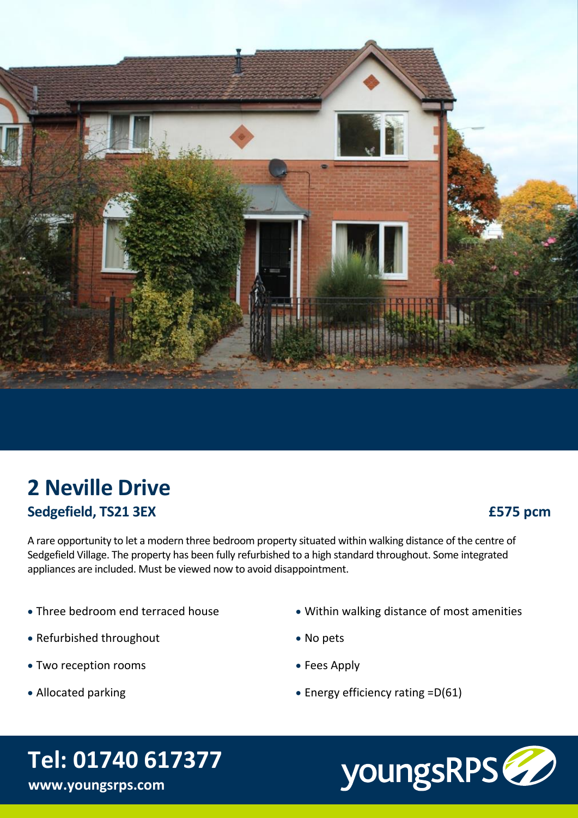

## **2 Neville Drive Sedgefield, TS21 3EX**

### **£575 pcm**

A rare opportunity to let a modern three bedroom property situated within walking distance of the centre of Sedgefield Village. The property has been fully refurbished to a high standard throughout. Some integrated appliances are included. Must be viewed now to avoid disappointment.

- · Three bedroom end terraced house
- · Refurbished throughout
- · Two reception rooms
- · Allocated parking
- · Within walking distance of most amenities
- · No pets
- · Fees Apply
- · Energy efficiency rating =D(61)

# **Tel: 01740 617377**

**www.youngsrps.com**